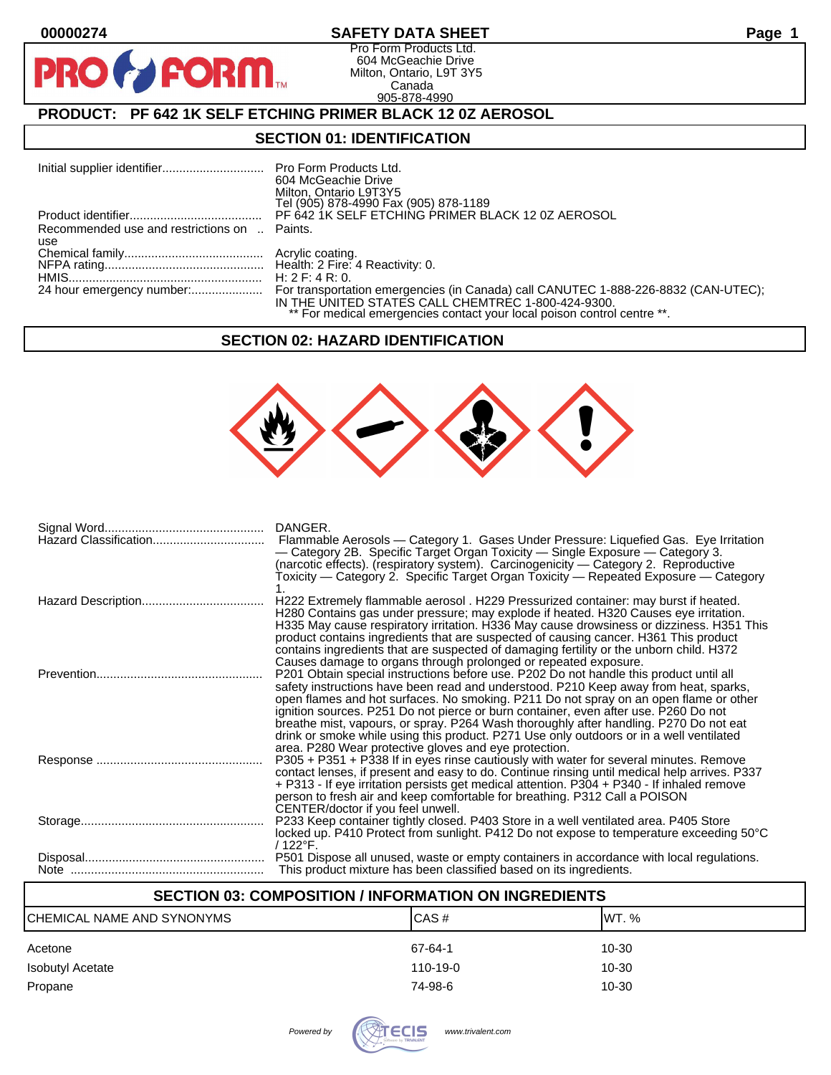D

# **00000274 SAFETY DATA SHEET Page 1**

Pro Form Products Ltd. 604 McGeachie Drive Milton, Ontario, L9T 3Y5 Canada 905-878-4990

# **PRODUCT: PF 642 1K SELF ETCHING PRIMER BLACK 12 0Z AEROSOL**

**FORM** 

### **SECTION 01: IDENTIFICATION**

| Initial supplier identifier Pro Form Products Ltd. | 604 McGeachie Drive<br>Milton, Ontario L9T3Y5<br>Tel (905) 878-4990 Fax (905) 878-1189 |
|----------------------------------------------------|----------------------------------------------------------------------------------------|
|                                                    | PF 642 1K SELF ETCHING PRIMER BLACK 12 0Z AEROSOL                                      |
| Recommended use and restrictions on  Paints.       |                                                                                        |
| use                                                |                                                                                        |
|                                                    |                                                                                        |
|                                                    |                                                                                        |
|                                                    | H: $2 F: 4 R: 0.$                                                                      |
|                                                    | IN THE UNITED STATES CALL CHEMTREC 1-800-424-9300.                                     |
|                                                    | ** For medical emergencies contact your local poison control centre **.                |

#### **SECTION 02: HAZARD IDENTIFICATION**



| DANGER.<br>Flammable Aerosols — Category 1. Gases Under Pressure: Liquefied Gas. Eye Irritation<br>— Category 2B. Specific Target Organ Toxicity — Single Exposure — Category 3.<br>(narcotic effects). (respiratory system). Carcinogenicity - Category 2. Reproductive<br>Toxicity — Category 2. Specific Target Organ Toxicity — Repeated Exposure — Category                                                                                                                                                                                   |
|----------------------------------------------------------------------------------------------------------------------------------------------------------------------------------------------------------------------------------------------------------------------------------------------------------------------------------------------------------------------------------------------------------------------------------------------------------------------------------------------------------------------------------------------------|
| H222 Extremely flammable aerosol . H229 Pressurized container: may burst if heated.<br>H280 Contains gas under pressure; may explode if heated. H320 Causes eye irritation.<br>H335 May cause respiratory irritation. H336 May cause drowsiness or dizziness. H351 This<br>product contains ingredients that are suspected of causing cancer. H361 This product<br>contains ingredients that are suspected of damaging fertility or the unborn child. H372<br>Causes damage to organs through prolonged or repeated exposure.                      |
| P201 Obtain special instructions before use. P202 Do not handle this product until all<br>safety instructions have been read and understood. P210 Keep away from heat, sparks,<br>open flames and hot surfaces. No smoking. P211 Do not spray on an open flame or other<br>ignition sources. P251 Do not pierce or burn container, even after use. P260 Do not<br>breathe mist, vapours, or spray. P264 Wash thoroughly after handling. P270 Do not eat<br>drink or smoke while using this product. P271 Use only outdoors or in a well ventilated |
| area. P280 Wear protective gloves and eye protection.<br>P305 + P351 + P338 If in eyes rinse cautiously with water for several minutes. Remove<br>contact lenses, if present and easy to do. Continue rinsing until medical help arrives. P337<br>+ P313 - If eye irritation persists get medical attention. P304 + P340 - If inhaled remove<br>person to fresh air and keep comfortable for breathing. P312 Call a POISON<br>CENTER/doctor if you feel unwell.                                                                                    |
| P233 Keep container tightly closed. P403 Store in a well ventilated area. P405 Store<br>locked up. P410 Protect from sunlight. P412 Do not expose to temperature exceeding 50°C<br>/ 122°F.                                                                                                                                                                                                                                                                                                                                                        |
| P501 Dispose all unused, waste or empty containers in accordance with local regulations.<br>This product mixture has been classified based on its ingredients.                                                                                                                                                                                                                                                                                                                                                                                     |

# **SECTION 03: COMPOSITION / INFORMATION ON INGREDIENTS**

| CHEMICAL NAME AND SYNONYMS | CAS#           | IWT. % |
|----------------------------|----------------|--------|
| Acetone                    | 67-64-1        | 10-30  |
| Isobutyl Acetate           | $110 - 19 - 0$ | 10-30  |
| Propane                    | 74-98-6        | 10-30  |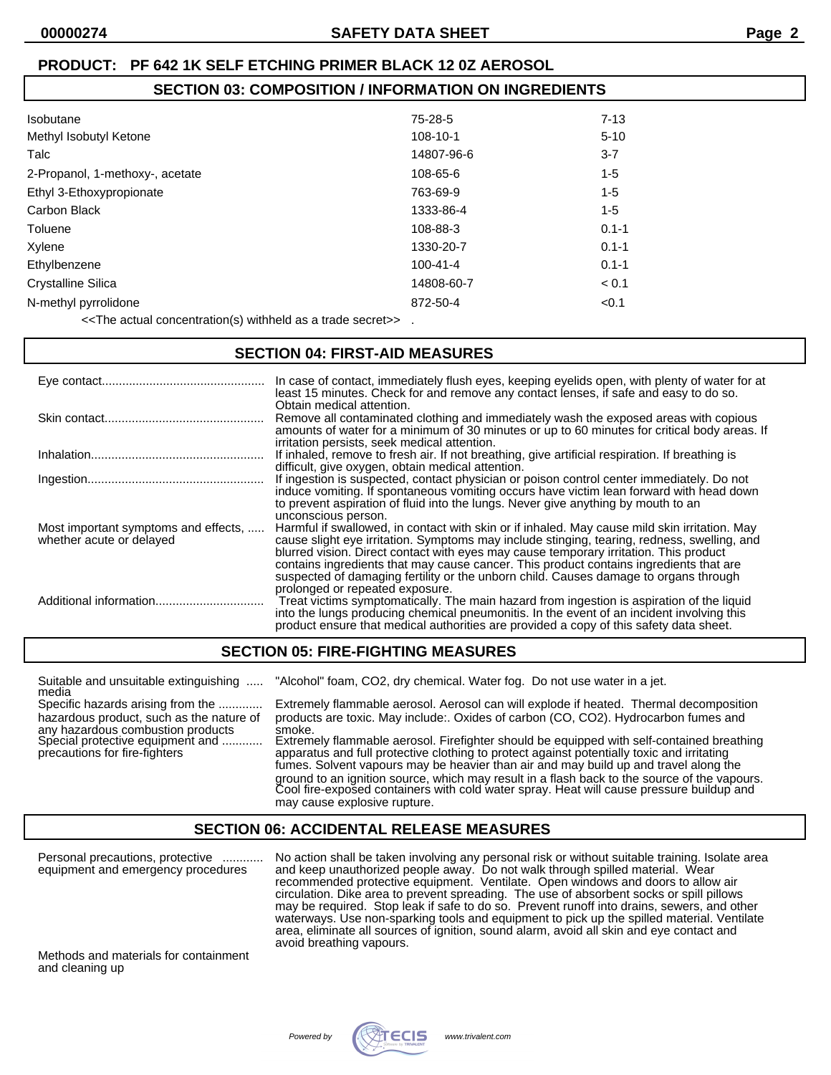# **00000274 SAFETY DATA SHEET Page 2**

# **PRODUCT: PF 642 1K SELF ETCHING PRIMER BLACK 12 0Z AEROSOL**

# **SECTION 03: COMPOSITION / INFORMATION ON INGREDIENTS**

| 75-28-5        | $7 - 13$  |
|----------------|-----------|
| 108-10-1       | $5 - 10$  |
| 14807-96-6     | $3 - 7$   |
| 108-65-6       | $1 - 5$   |
| 763-69-9       | $1 - 5$   |
| 1333-86-4      | $1 - 5$   |
| 108-88-3       | $0.1 - 1$ |
| 1330-20-7      | $0.1 - 1$ |
| $100 - 41 - 4$ | $0.1 - 1$ |
| 14808-60-7     | < 0.1     |
| 872-50-4       | < 0.1     |
|                |           |

<<The actual concentration(s) withheld as a trade secret>> .

#### **SECTION 04: FIRST-AID MEASURES**

|                                                                  | In case of contact, immediately flush eyes, keeping eyelids open, with plenty of water for at<br>least 15 minutes. Check for and remove any contact lenses, if safe and easy to do so.<br>Obtain medical attention.                                                                                                                                                                                                                                                     |
|------------------------------------------------------------------|-------------------------------------------------------------------------------------------------------------------------------------------------------------------------------------------------------------------------------------------------------------------------------------------------------------------------------------------------------------------------------------------------------------------------------------------------------------------------|
|                                                                  | Remove all contaminated clothing and immediately wash the exposed areas with copious<br>amounts of water for a minimum of 30 minutes or up to 60 minutes for critical body areas. If<br>irritation persists, seek medical attention.                                                                                                                                                                                                                                    |
|                                                                  | If inhaled, remove to fresh air. If not breathing, give artificial respiration. If breathing is<br>difficult, give oxygen, obtain medical attention.                                                                                                                                                                                                                                                                                                                    |
|                                                                  | If ingestion is suspected, contact physician or poison control center immediately. Do not<br>induce vomiting. If spontaneous vomiting occurs have victim lean forward with head down<br>to prevent aspiration of fluid into the lungs. Never give anything by mouth to an<br>unconscious person.                                                                                                                                                                        |
| Most important symptoms and effects,<br>whether acute or delayed | Harmful if swallowed, in contact with skin or if inhaled. May cause mild skin irritation. May<br>cause slight eye irritation. Symptoms may include stinging, tearing, redness, swelling, and<br>blurred vision. Direct contact with eyes may cause temporary irritation. This product<br>contains ingredients that may cause cancer. This product contains ingredients that are<br>suspected of damaging fertility or the unborn child. Causes damage to organs through |
| Additional information                                           | prolonged or repeated exposure.<br>Treat victims symptomatically. The main hazard from ingestion is aspiration of the liquid<br>into the lungs producing chemical pneumonitis. In the event of an incident involving this<br>product ensure that medical authorities are provided a copy of this safety data sheet.                                                                                                                                                     |

# **SECTION 05: FIRE-FIGHTING MEASURES**

| Suitable and unsuitable extinguishing<br>media                                                                                                                                          | "Alcohol" foam, CO2, dry chemical. Water fog. Do not use water in a jet.                                                                                                                                                                                                                                                                                                                                                                                                                                                                                                                                                                                               |
|-----------------------------------------------------------------------------------------------------------------------------------------------------------------------------------------|------------------------------------------------------------------------------------------------------------------------------------------------------------------------------------------------------------------------------------------------------------------------------------------------------------------------------------------------------------------------------------------------------------------------------------------------------------------------------------------------------------------------------------------------------------------------------------------------------------------------------------------------------------------------|
| Specific hazards arising from the<br>hazardous product, such as the nature of<br>any hazardous combustion products<br>Special protective equipment and<br>precautions for fire-fighters | Extremely flammable aerosol. Aerosol can will explode if heated. Thermal decomposition<br>products are toxic. May include:. Oxides of carbon (CO, CO2). Hydrocarbon fumes and<br>smoke.<br>Extremely flammable aerosol. Firefighter should be equipped with self-contained breathing<br>apparatus and full protective clothing to protect against potentially toxic and irritating<br>fumes. Solvent vapours may be heavier than air and may build up and travel along the<br>ground to an ignition source, which may result in a flash back to the source of the vapours.<br>Cool fire-exposed containers with cold water spray. Heat will cause pressure buildup and |
|                                                                                                                                                                                         | may cause explosive rupture.                                                                                                                                                                                                                                                                                                                                                                                                                                                                                                                                                                                                                                           |

# **SECTION 06: ACCIDENTAL RELEASE MEASURES**

Personal precautions, protective ............ No action shall be taken involving any personal risk or without suitable training. Isolate area equipment and emergency procedures and keep unauthorized people away. Do not walk through spilled material. Wear recommended protective equipment. Ventilate. Open windows and doors to allow air circulation. Dike area to prevent spreading. The use of absorbent socks or spill pillows may be required. Stop leak if safe to do so. Prevent runoff into drains, sewers, and other waterways. Use non-sparking tools and equipment to pick up the spilled material. Ventilate area, eliminate all sources of ignition, sound alarm, avoid all skin and eye contact and avoid breathing vapours.

Methods and materials for containment and cleaning up

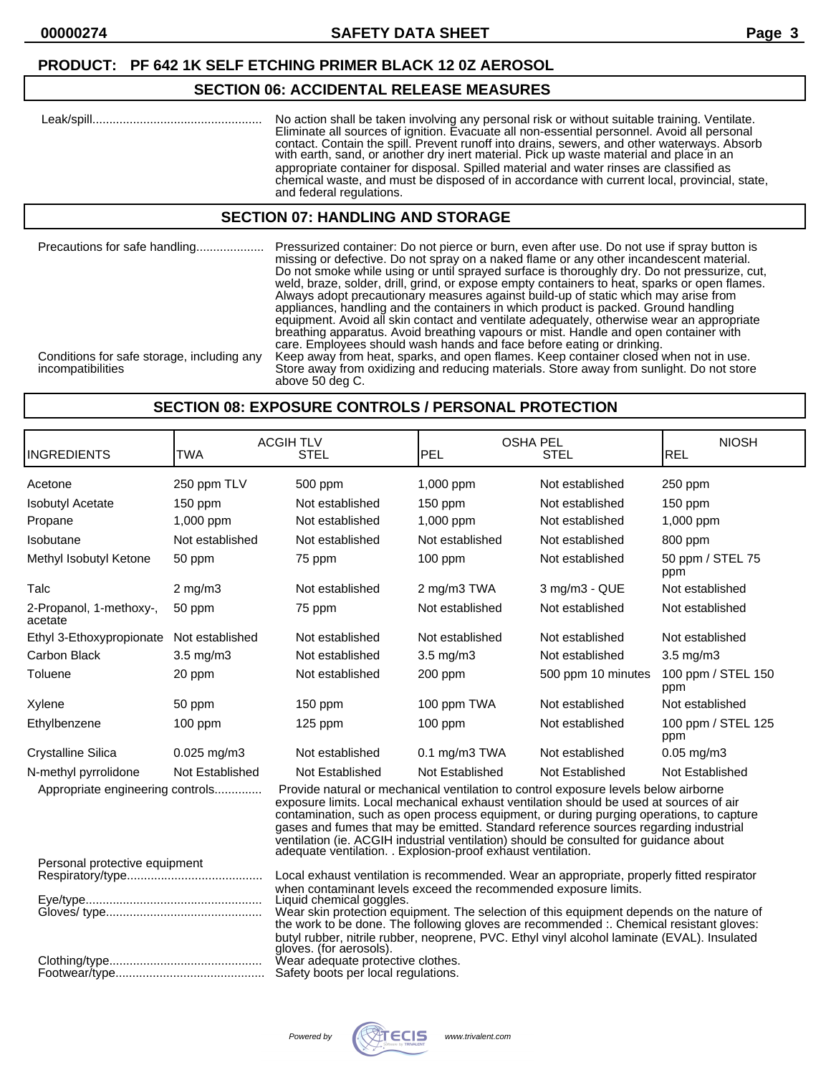#### **PRODUCT: PF 642 1K SELF ETCHING PRIMER BLACK 12 0Z AEROSOL**

#### **SECTION 06: ACCIDENTAL RELEASE MEASURES**

| No action shall be taken involving any personal risk or without suitable training. Ventilate.<br>Eliminate all sources of ignition. Evacuate all non-essential personnel. Avoid all personal<br>contact. Contain the spill. Prevent runoff into drains, sewers, and other waterways. Absorb<br>with earth, sand, or another dry inert material. Pick up waste material and place in an<br>appropriate container for disposal. Spilled material and water rinses are classified as<br>chemical waste, and must be disposed of in accordance with current local, provincial, state, |
|-----------------------------------------------------------------------------------------------------------------------------------------------------------------------------------------------------------------------------------------------------------------------------------------------------------------------------------------------------------------------------------------------------------------------------------------------------------------------------------------------------------------------------------------------------------------------------------|
| and federal regulations.                                                                                                                                                                                                                                                                                                                                                                                                                                                                                                                                                          |

#### **SECTION 07: HANDLING AND STORAGE**

Precautions for safe handling.................... Pressurized container: Do not pierce or burn, even after use. Do not use if spray button is missing or defective. Do not spray on a naked flame or any other incandescent material. Do not smoke while using or until sprayed surface is thoroughly dry. Do not pressurize, cut, weld, braze, solder, drill, grind, or expose empty containers to heat, sparks or open flames. Always adopt precautionary measures against build-up of static which may arise from appliances, handling and the containers in which product is packed. Ground handling equipment. Avoid all skin contact and ventilate adequately, otherwise wear an appropriate breathing apparatus. Avoid breathing vapours or mist. Handle and open container with care. Employees should wash hands and face before eating or drinking. Conditions for safe storage, including any Keep away from heat, sparks, and open flames. Keep container closed when not in use.<br>Store away from oxidizing and reducing materials. Store away from sunlight. Do not store Store away from oxidizing and reducing materials. Store away from sunlight. Do not store above 50 deg C.

#### **SECTION 08: EXPOSURE CONTROLS / PERSONAL PROTECTION**

| <b>INGREDIENTS</b>                                                                                                                                                                                                                                                                                                                                                                                                                                                                                                                                            | <b>TWA</b>               | <b>ACGIH TLV</b><br><b>OSHA PEL</b><br><b>STEL</b><br>PEL<br><b>STEL</b>                                                                                                            |                    | <b>NIOSH</b><br><b>REL</b> |                           |
|---------------------------------------------------------------------------------------------------------------------------------------------------------------------------------------------------------------------------------------------------------------------------------------------------------------------------------------------------------------------------------------------------------------------------------------------------------------------------------------------------------------------------------------------------------------|--------------------------|-------------------------------------------------------------------------------------------------------------------------------------------------------------------------------------|--------------------|----------------------------|---------------------------|
| Acetone                                                                                                                                                                                                                                                                                                                                                                                                                                                                                                                                                       | 250 ppm TLV              | 500 ppm                                                                                                                                                                             | 1,000 ppm          | Not established            | 250 ppm                   |
| <b>Isobutyl Acetate</b>                                                                                                                                                                                                                                                                                                                                                                                                                                                                                                                                       | $150$ ppm                | Not established                                                                                                                                                                     | 150 ppm            | Not established            | 150 ppm                   |
| Propane                                                                                                                                                                                                                                                                                                                                                                                                                                                                                                                                                       | 1,000 ppm                | Not established                                                                                                                                                                     | 1,000 ppm          | Not established            | 1,000 ppm                 |
| Isobutane                                                                                                                                                                                                                                                                                                                                                                                                                                                                                                                                                     | Not established          | Not established                                                                                                                                                                     | Not established    | Not established            | 800 ppm                   |
| Methyl Isobutyl Ketone                                                                                                                                                                                                                                                                                                                                                                                                                                                                                                                                        | 50 ppm                   | 75 ppm                                                                                                                                                                              | 100 ppm            | Not established            | 50 ppm / STEL 75<br>ppm   |
| Talc                                                                                                                                                                                                                                                                                                                                                                                                                                                                                                                                                          | $2$ mg/m $3$             | Not established                                                                                                                                                                     | 2 mg/m3 TWA        | 3 mg/m3 - QUE              | Not established           |
| 2-Propanol, 1-methoxy-,<br>acetate                                                                                                                                                                                                                                                                                                                                                                                                                                                                                                                            | 50 ppm                   | 75 ppm                                                                                                                                                                              | Not established    | Not established            | Not established           |
| Ethyl 3-Ethoxypropionate                                                                                                                                                                                                                                                                                                                                                                                                                                                                                                                                      | Not established          | Not established                                                                                                                                                                     | Not established    | Not established            | Not established           |
| Carbon Black                                                                                                                                                                                                                                                                                                                                                                                                                                                                                                                                                  | 3.5 mg/m3                | Not established                                                                                                                                                                     | 3.5 mg/m3          | Not established            | 3.5 mg/m3                 |
| Toluene                                                                                                                                                                                                                                                                                                                                                                                                                                                                                                                                                       | 20 ppm                   | Not established                                                                                                                                                                     | 200 ppm            | 500 ppm 10 minutes         | 100 ppm / STEL 150<br>ppm |
| Xylene                                                                                                                                                                                                                                                                                                                                                                                                                                                                                                                                                        | 50 ppm                   | $150$ ppm                                                                                                                                                                           | 100 ppm TWA        | Not established            | Not established           |
| Ethylbenzene                                                                                                                                                                                                                                                                                                                                                                                                                                                                                                                                                  | $100$ ppm                | $125$ ppm                                                                                                                                                                           | $100$ ppm          | Not established            | 100 ppm / STEL 125<br>ppm |
| <b>Crystalline Silica</b>                                                                                                                                                                                                                                                                                                                                                                                                                                                                                                                                     | $0.025$ mg/m3            | Not established                                                                                                                                                                     | $0.1$ mg/m $3$ TWA | Not established            | $0.05$ mg/m $3$           |
| N-methyl pyrrolidone                                                                                                                                                                                                                                                                                                                                                                                                                                                                                                                                          | Not Established          | Not Established                                                                                                                                                                     | Not Established    | Not Established            | Not Established           |
| Provide natural or mechanical ventilation to control exposure levels below airborne<br>Appropriate engineering controls<br>exposure limits. Local mechanical exhaust ventilation should be used at sources of air<br>contamination, such as open process equipment, or during purging operations, to capture<br>gases and fumes that may be emitted. Standard reference sources regarding industrial<br>ventilation (ie. ACGIH industrial ventilation) should be consulted for guidance about<br>adequate ventilation. . Explosion-proof exhaust ventilation. |                          |                                                                                                                                                                                     |                    |                            |                           |
| Personal protective equipment                                                                                                                                                                                                                                                                                                                                                                                                                                                                                                                                 |                          |                                                                                                                                                                                     |                    |                            |                           |
|                                                                                                                                                                                                                                                                                                                                                                                                                                                                                                                                                               |                          | Local exhaust ventilation is recommended. Wear an appropriate, properly fitted respirator<br>when contaminant levels exceed the recommended exposure limits.                        |                    |                            |                           |
|                                                                                                                                                                                                                                                                                                                                                                                                                                                                                                                                                               | Liquid chemical goggles. |                                                                                                                                                                                     |                    |                            |                           |
|                                                                                                                                                                                                                                                                                                                                                                                                                                                                                                                                                               |                          | Wear skin protection equipment. The selection of this equipment depends on the nature of<br>the work to be done. The following gloves are recommended :. Chemical resistant gloves: |                    |                            |                           |
| ~~~~                                                                                                                                                                                                                                                                                                                                                                                                                                                                                                                                                          |                          | butyl rubber, nitrile rubber, neoprene, PVC. Ethyl vinyl alcohol laminate (EVAL). Insulated<br>gloves. (for aerosols).<br>$\mathbf{r}$                                              |                    |                            |                           |

Clothing/type............................................. Wear adequate protective clothes.

Footwear/type............................................ Safety boots per local regulations.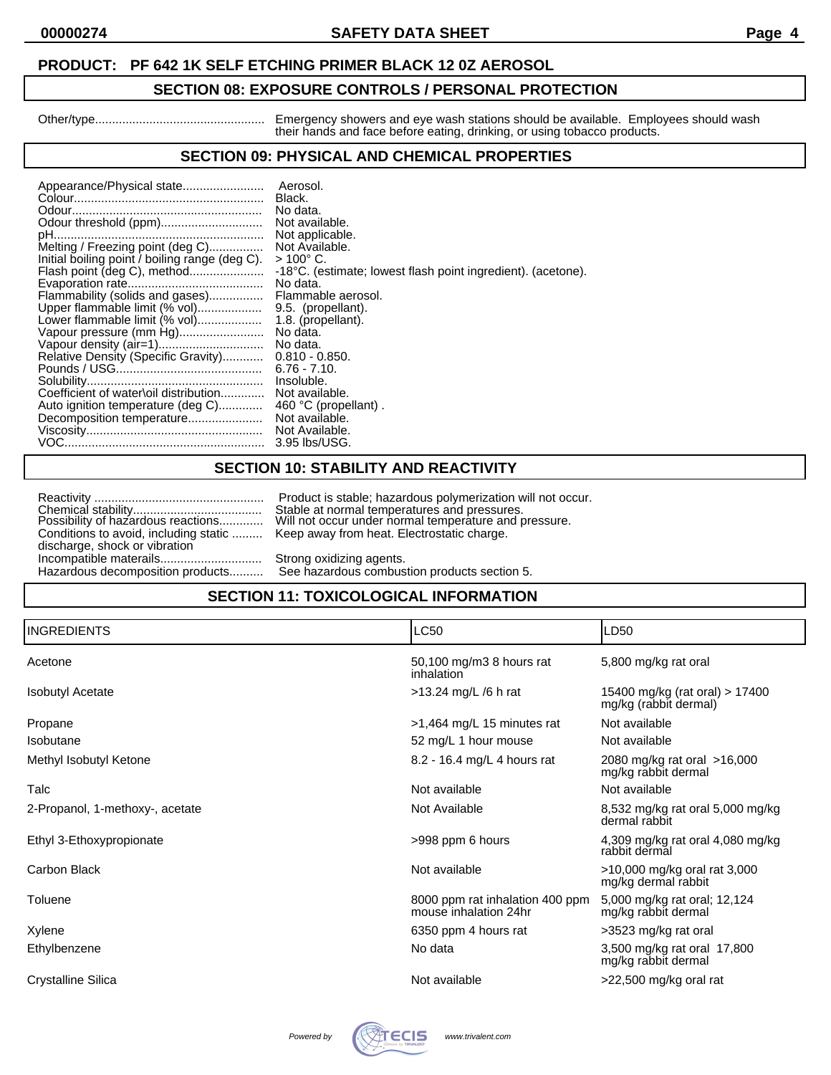### **00000274 SAFETY DATA SHEET Page 4**

#### **PRODUCT: PF 642 1K SELF ETCHING PRIMER BLACK 12 0Z AEROSOL**

# **SECTION 08: EXPOSURE CONTROLS / PERSONAL PROTECTION**

Other/type.................................................. Emergency showers and eye wash stations should be available. Employees should wash their hands and face before eating, drinking, or using tobacco products.

# **SECTION 09: PHYSICAL AND CHEMICAL PROPERTIES**

|                                                | Aerosol.                                                     |
|------------------------------------------------|--------------------------------------------------------------|
|                                                | Black.                                                       |
|                                                | No data.                                                     |
|                                                | Not available.                                               |
|                                                | Not applicable.                                              |
| Melting / Freezing point (deg C)               | Not Available.                                               |
| Initial boiling point / boiling range (deg C). | $>100^{\circ}$ C.                                            |
| Flash point (deg C), method                    | -18°C. (estimate; lowest flash point ingredient). (acetone). |
|                                                | No data.                                                     |
| Flammability (solids and gases)                | Flammable aerosol.                                           |
| Upper flammable limit (% vol)                  | 9.5. (propellant).                                           |
| Lower flammable limit (% vol)                  | 1.8. (propellant).                                           |
| Vapour pressure (mm Hg)                        | No data.                                                     |
|                                                | No data.                                                     |
| Relative Density (Specific Gravity)            | $0.810 - 0.850.$                                             |
|                                                | $6.76 - 7.10$                                                |
|                                                | Insoluble.                                                   |
| Coefficient of water\oil distribution          | Not available.                                               |
| Auto ignition temperature (deg C)              | 460 °C (propellant).                                         |
|                                                |                                                              |
|                                                | Not available.                                               |
|                                                | Not Available.                                               |
|                                                | 3.95 lbs/USG.                                                |

# **SECTION 10: STABILITY AND REACTIVITY**

|                                                                   | Product is stable; hazardous polymerization w                           |  |
|-------------------------------------------------------------------|-------------------------------------------------------------------------|--|
|                                                                   | Stable at normal temperatures and pressures.                            |  |
| Possibility of hazardous reactions                                | Will not occur under normal temperature and p                           |  |
| Conditions to avoid, including static                             | Keep away from heat. Electrostatic charge.                              |  |
| discharge, shock or vibration<br>Hazardous decomposition products | Strong oxidizing agents.<br>See hazardous combustion products section F |  |

roduct is stable; hazardous polymerization will not occur. Possibility of hazardous reactions............. Will not occur under normal temperature and pressure. ep away from heat. Electrostatic charge. Incompatible materials.

See hazardous combustion products section 5.

# **SECTION 11: TOXICOLOGICAL INFORMATION**

| <b>INGREDIENTS</b>              | <b>LC50</b>                                              | LD50                                                    |
|---------------------------------|----------------------------------------------------------|---------------------------------------------------------|
| Acetone                         | 50,100 mg/m3 8 hours rat<br>inhalation                   | 5,800 mg/kg rat oral                                    |
| <b>Isobutyl Acetate</b>         | $>13.24$ mg/L /6 h rat                                   | 15400 mg/kg (rat oral) > 17400<br>mg/kg (rabbit dermal) |
| Propane                         | $>1,464$ mg/L 15 minutes rat                             | Not available                                           |
| Isobutane                       | 52 mg/L 1 hour mouse                                     | Not available                                           |
| Methyl Isobutyl Ketone          | 8.2 - 16.4 mg/L 4 hours rat                              | 2080 mg/kg rat oral >16,000<br>mg/kg rabbit dermal      |
| Talc                            | Not available                                            | Not available                                           |
| 2-Propanol, 1-methoxy-, acetate | Not Available                                            | 8,532 mg/kg rat oral 5,000 mg/kg<br>dermal rabbit       |
| Ethyl 3-Ethoxypropionate        | >998 ppm 6 hours                                         | 4,309 mg/kg rat oral 4,080 mg/kg<br>rabbit dermal       |
| Carbon Black                    | Not available                                            | >10,000 mg/kg oral rat 3,000<br>mg/kg dermal rabbit     |
| Toluene                         | 8000 ppm rat inhalation 400 ppm<br>mouse inhalation 24hr | 5,000 mg/kg rat oral; 12,124<br>mg/kg rabbit dermal     |
| Xylene                          | 6350 ppm 4 hours rat                                     | >3523 mg/kg rat oral                                    |
| Ethylbenzene                    | No data                                                  | 3,500 mg/kg rat oral 17,800<br>mg/kg rabbit dermal      |
| Crystalline Silica              | Not available                                            | $>22,500$ mg/kg oral rat                                |

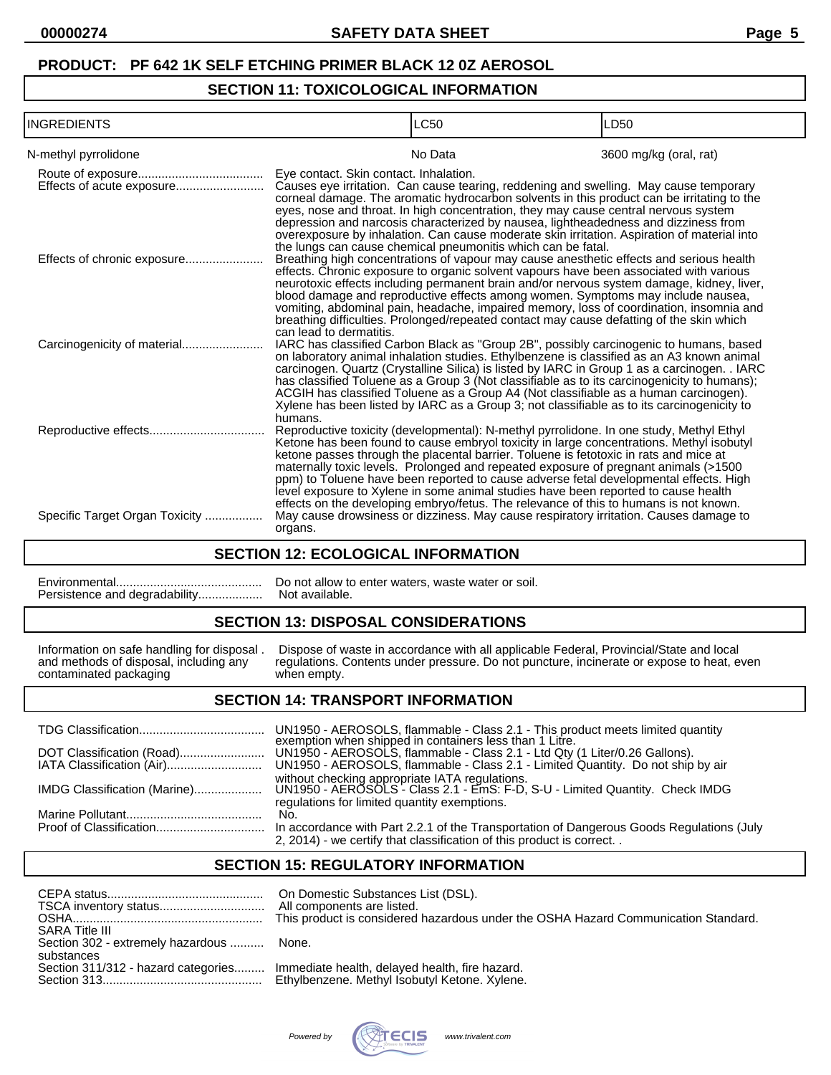# **PRODUCT: PF 642 1K SELF ETCHING PRIMER BLACK 12 0Z AEROSOL**

# **SECTION 11: TOXICOLOGICAL INFORMATION**

| <b>I</b> INGREDIENTS           |                                        | LC50                                                                                                                                                                                                                                                                                                                                                                                                                                                                                                                                                                                                                                         | LD50                   |
|--------------------------------|----------------------------------------|----------------------------------------------------------------------------------------------------------------------------------------------------------------------------------------------------------------------------------------------------------------------------------------------------------------------------------------------------------------------------------------------------------------------------------------------------------------------------------------------------------------------------------------------------------------------------------------------------------------------------------------------|------------------------|
| N-methyl pyrrolidone           |                                        | No Data                                                                                                                                                                                                                                                                                                                                                                                                                                                                                                                                                                                                                                      | 3600 mg/kg (oral, rat) |
| Effects of acute exposure      | Eye contact. Skin contact. Inhalation. | Causes eye irritation. Can cause tearing, reddening and swelling. May cause temporary<br>corneal damage. The aromatic hydrocarbon solvents in this product can be irritating to the<br>eyes, nose and throat. In high concentration, they may cause central nervous system<br>depression and narcosis characterized by nausea, lightheadedness and dizziness from<br>overexposure by inhalation. Can cause moderate skin irritation. Aspiration of material into                                                                                                                                                                             |                        |
|                                |                                        | the lungs can cause chemical pneumonitis which can be fatal.<br>Breathing high concentrations of vapour may cause anesthetic effects and serious health<br>effects. Chronic exposure to organic solvent vapours have been associated with various<br>neurotoxic effects including permanent brain and/or nervous system damage, kidney, liver,<br>blood damage and reproductive effects among women. Symptoms may include nausea,<br>vomiting, abdominal pain, headache, impaired memory, loss of coordination, insomnia and<br>breathing difficulties. Prolonged/repeated contact may cause defatting of the skin which                     |                        |
|                                | can lead to dermatitis.                | IARC has classified Carbon Black as "Group 2B", possibly carcinogenic to humans, based<br>on laboratory animal inhalation studies. Ethylbenzene is classified as an A3 known animal<br>carcinogen. Quartz (Crystalline Silica) is listed by IARC in Group 1 as a carcinogen. . IARC<br>has classified Toluene as a Group 3 (Not classifiable as to its carcinogenicity to humans);<br>ACGIH has classified Toluene as a Group A4 (Not classifiable as a human carcinogen).<br>Xylene has been listed by IARC as a Group 3; not classifiable as to its carcinogenicity to                                                                     |                        |
|                                | humans.                                | Reproductive toxicity (developmental): N-methyl pyrrolidone. In one study, Methyl Ethyl<br>Ketone has been found to cause embryol toxicity in large concentrations. Methyl isobutyl<br>ketone passes through the placental barrier. Toluene is fetotoxic in rats and mice at<br>maternally toxic levels. Prolonged and repeated exposure of pregnant animals (>1500)<br>ppm) to Toluene have been reported to cause adverse fetal developmental effects. High<br>level exposure to Xylene in some animal studies have been reported to cause health<br>effects on the developing embryo/fetus. The relevance of this to humans is not known. |                        |
| Specific Target Organ Toxicity | organs.                                | May cause drowsiness or dizziness. May cause respiratory irritation. Causes damage to                                                                                                                                                                                                                                                                                                                                                                                                                                                                                                                                                        |                        |

### **SECTION 12: ECOLOGICAL INFORMATION**

|                               | Do not allow to enter waters, waste water or soil. |
|-------------------------------|----------------------------------------------------|
| Persistence and degradability | Not available.                                     |

# **SECTION 13: DISPOSAL CONSIDERATIONS**

contaminated packaging when empty.

Information on safe handling for disposal . Dispose of waste in accordance with all applicable Federal, Provincial/State and local and methods of disposal, including any regulations. Contents under pressure. Do not punctur regulations. Contents under pressure. Do not puncture, incinerate or expose to heat, even

#### **SECTION 14: TRANSPORT INFORMATION**

TDG Classification..................................... UN1950 - AEROSOLS, flammable - Class 2.1 - This product meets limited quantity exemption when shipped in containers less than 1 Litre. DOT Classification (Road)......................... UN1950 - AEROSOLS, flammable - Class 2.1 - Ltd Qty (1 Liter/0.26 Gallons). IATA Classification (Air)............................ UN1950 - AEROSOLS, flammable - Class 2.1 - Limited Quantity. Do not ship by air without checking appropriate IATA regulations. IMDG Classification (Marine).................... UN1950 - AEROSOLS - Class 2.1 - EmS: F-D, S-U - Limited Quantity. Check IMDG regulations for limited quantity exemptions. Marine Pollutant........................................ No. In accordance with Part 2.2.1 of the Transportation of Dangerous Goods Regulations (July 2, 2014) - we certify that classification of this product is correct. .

# **SECTION 15: REGULATORY INFORMATION**

| <b>SARA Title III</b>             | On Domestic Substances List (DSL).<br>All components are listed.<br>This product is considered hazardous under the OSHA Hazard Communication Standard. |
|-----------------------------------|--------------------------------------------------------------------------------------------------------------------------------------------------------|
| Section 302 - extremely hazardous | None.                                                                                                                                                  |
| substances                        |                                                                                                                                                        |
|                                   | Section 311/312 - hazard categories Immediate health, delayed health, fire hazard.                                                                     |
|                                   |                                                                                                                                                        |